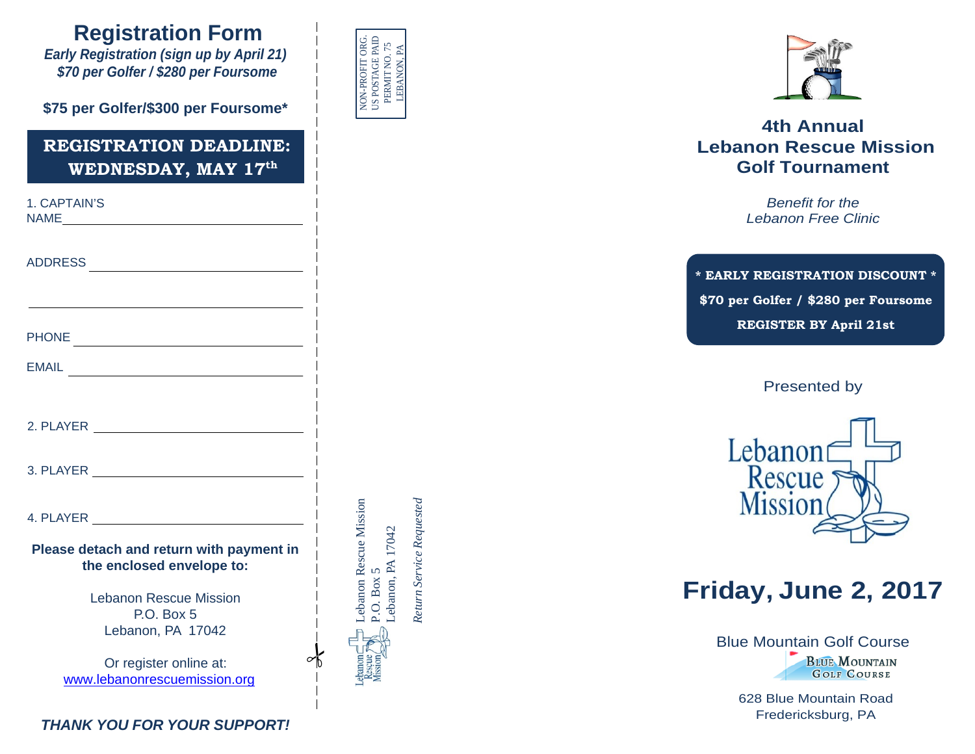### **Registration Form**

*Early Registration (sign up by April 21) \$70 per Golfer / \$280 per Foursome*

**\$75 per Golfer/\$300 per Foursome\***

#### **REGISTRATION DEADLINE: WEDNESDAY, MAY 17th**

| 1. CAPTAIN'S<br>NAME And the second contract of the second contract of the second contract of the second contract of the second contract of the second contract of the second contract of the second contract of the second contract of the se |  |
|------------------------------------------------------------------------------------------------------------------------------------------------------------------------------------------------------------------------------------------------|--|
|                                                                                                                                                                                                                                                |  |
|                                                                                                                                                                                                                                                |  |
|                                                                                                                                                                                                                                                |  |
| EMAIL<br>The Company of the Company of the Company of the Company of the Company of the Company of the Company of the Company of the Company of the Company of the Company of the Company of the Company of the Company of the C               |  |
|                                                                                                                                                                                                                                                |  |
|                                                                                                                                                                                                                                                |  |
|                                                                                                                                                                                                                                                |  |
|                                                                                                                                                                                                                                                |  |
| Please detach and return with payment in<br>the enclosed envelope to:                                                                                                                                                                          |  |
| <b>Lebanon Rescue Mission</b><br>P.O. Box 5<br>Lebanon, PA 17042                                                                                                                                                                               |  |
| Or register online at:<br>www.lebanonrescuemission.org                                                                                                                                                                                         |  |



Lebanon Rescue Mission

Lebanon Rescue Mission

P.O. Box 5

P.O. Box 5

Lebanon, PA 17042 PA 17042

*Return Service Requested*

Return Service Requested



#### **4th Annual Lebanon Rescue Mission Golf Tournament**

*Benefit for the Lebanon Free Clinic*

**\* EARLY REGISTRATION DISCOUNT \* \$70 per Golfer / \$280 per Foursome REGISTER BY April 21st**

Presented by



### **Friday, June 2, 2017**

Blue M[ountain Golf Cours](http://www.bluemountaingolf.com/)e **BLUE MOUNTAIN GOLF COURSE** 

> 628 Blue Mountain Road Fredericksburg, PA

*THANK YOU FOR YOUR SUPPORT!*